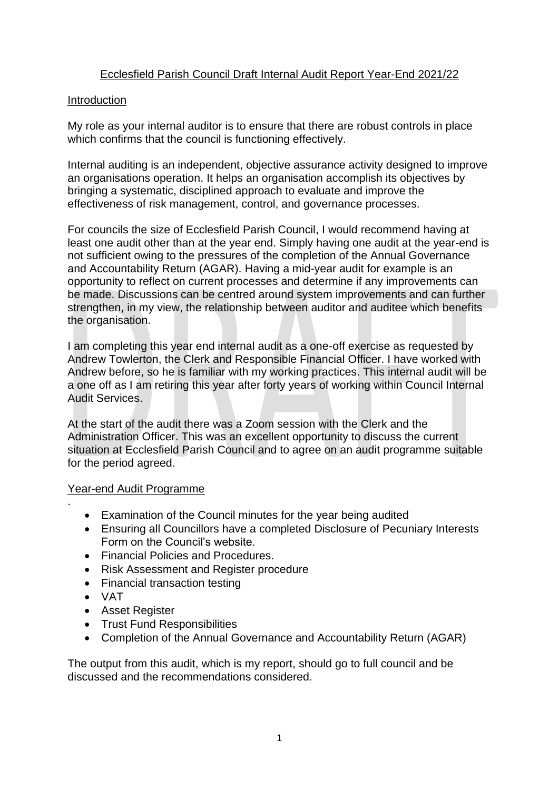# Ecclesfield Parish Council Draft Internal Audit Report Year-End 2021/22

## Introduction

My role as your internal auditor is to ensure that there are robust controls in place which confirms that the council is functioning effectively.

Internal auditing is an independent, objective assurance activity designed to improve an organisations operation. It helps an organisation accomplish its objectives by bringing a systematic, disciplined approach to evaluate and improve the effectiveness of risk management, control, and governance processes.

For councils the size of Ecclesfield Parish Council, I would recommend having at least one audit other than at the year end. Simply having one audit at the year-end is not sufficient owing to the pressures of the completion of the Annual Governance and Accountability Return (AGAR). Having a mid-year audit for example is an opportunity to reflect on current processes and determine if any improvements can be made. Discussions can be centred around system improvements and can further strengthen, in my view, the relationship between auditor and auditee which benefits the organisation.

I am completing this year end internal audit as a one-off exercise as requested by Andrew Towlerton, the Clerk and Responsible Financial Officer. I have worked with Andrew before, so he is familiar with my working practices. This internal audit will be a one off as I am retiring this year after forty years of working within Council Internal Audit Services.

At the start of the audit there was a Zoom session with the Clerk and the Administration Officer. This was an excellent opportunity to discuss the current situation at Ecclesfield Parish Council and to agree on an audit programme suitable for the period agreed.

# Year-end Audit Programme

- Examination of the Council minutes for the year being audited
- Ensuring all Councillors have a completed Disclosure of Pecuniary Interests Form on the Council's website.
- Financial Policies and Procedures.
- Risk Assessment and Register procedure
- Financial transaction testing
- VAT

.

- Asset Register
- Trust Fund Responsibilities
- Completion of the Annual Governance and Accountability Return (AGAR)

The output from this audit, which is my report, should go to full council and be discussed and the recommendations considered.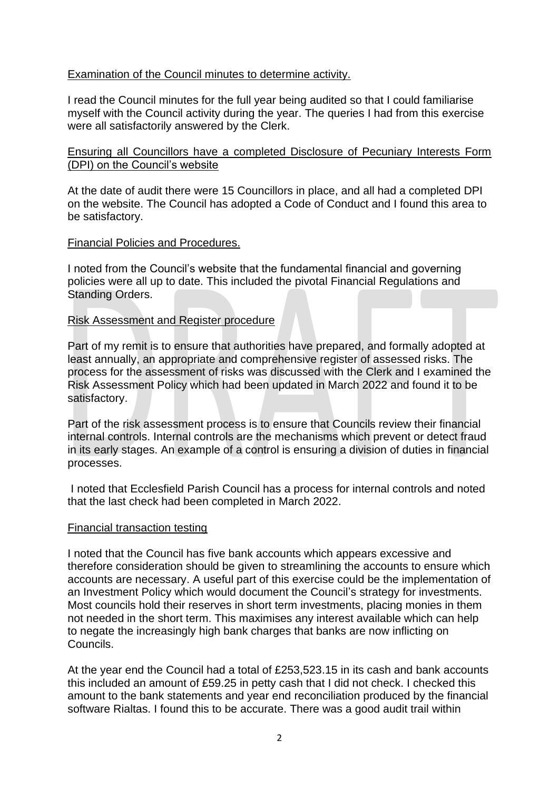# Examination of the Council minutes to determine activity.

I read the Council minutes for the full year being audited so that I could familiarise myself with the Council activity during the year. The queries I had from this exercise were all satisfactorily answered by the Clerk.

# Ensuring all Councillors have a completed Disclosure of Pecuniary Interests Form (DPI) on the Council's website

At the date of audit there were 15 Councillors in place, and all had a completed DPI on the website. The Council has adopted a Code of Conduct and I found this area to be satisfactory.

## Financial Policies and Procedures.

I noted from the Council's website that the fundamental financial and governing policies were all up to date. This included the pivotal Financial Regulations and Standing Orders.

## Risk Assessment and Register procedure

Part of my remit is to ensure that authorities have prepared, and formally adopted at least annually, an appropriate and comprehensive register of assessed risks. The process for the assessment of risks was discussed with the Clerk and I examined the Risk Assessment Policy which had been updated in March 2022 and found it to be satisfactory.

Part of the risk assessment process is to ensure that Councils review their financial internal controls. Internal controls are the mechanisms which prevent or detect fraud in its early stages. An example of a control is ensuring a division of duties in financial processes.

I noted that Ecclesfield Parish Council has a process for internal controls and noted that the last check had been completed in March 2022.

#### Financial transaction testing

I noted that the Council has five bank accounts which appears excessive and therefore consideration should be given to streamlining the accounts to ensure which accounts are necessary. A useful part of this exercise could be the implementation of an Investment Policy which would document the Council's strategy for investments. Most councils hold their reserves in short term investments, placing monies in them not needed in the short term. This maximises any interest available which can help to negate the increasingly high bank charges that banks are now inflicting on Councils.

At the year end the Council had a total of £253,523.15 in its cash and bank accounts this included an amount of £59.25 in petty cash that I did not check. I checked this amount to the bank statements and year end reconciliation produced by the financial software Rialtas. I found this to be accurate. There was a good audit trail within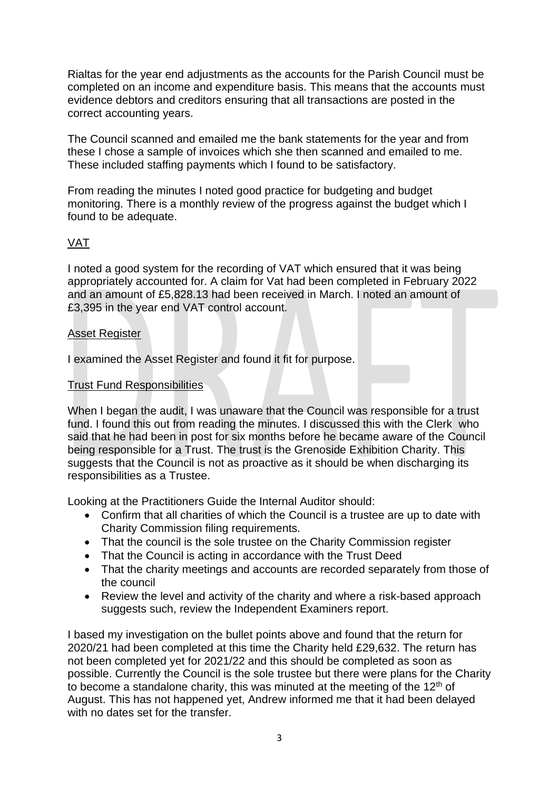Rialtas for the year end adjustments as the accounts for the Parish Council must be completed on an income and expenditure basis. This means that the accounts must evidence debtors and creditors ensuring that all transactions are posted in the correct accounting years.

The Council scanned and emailed me the bank statements for the year and from these I chose a sample of invoices which she then scanned and emailed to me. These included staffing payments which I found to be satisfactory.

From reading the minutes I noted good practice for budgeting and budget monitoring. There is a monthly review of the progress against the budget which I found to be adequate.

# VAT

I noted a good system for the recording of VAT which ensured that it was being appropriately accounted for. A claim for Vat had been completed in February 2022 and an amount of £5,828.13 had been received in March. I noted an amount of £3,395 in the year end VAT control account.

## Asset Register

I examined the Asset Register and found it fit for purpose.

## Trust Fund Responsibilities

When I began the audit, I was unaware that the Council was responsible for a trust fund. I found this out from reading the minutes. I discussed this with the Clerk who said that he had been in post for six months before he became aware of the Council being responsible for a Trust. The trust is the Grenoside Exhibition Charity. This suggests that the Council is not as proactive as it should be when discharging its responsibilities as a Trustee.

Looking at the Practitioners Guide the Internal Auditor should:

- Confirm that all charities of which the Council is a trustee are up to date with Charity Commission filing requirements.
- That the council is the sole trustee on the Charity Commission register
- That the Council is acting in accordance with the Trust Deed
- That the charity meetings and accounts are recorded separately from those of the council
- Review the level and activity of the charity and where a risk-based approach suggests such, review the Independent Examiners report.

I based my investigation on the bullet points above and found that the return for 2020/21 had been completed at this time the Charity held £29,632. The return has not been completed yet for 2021/22 and this should be completed as soon as possible. Currently the Council is the sole trustee but there were plans for the Charity to become a standalone charity, this was minuted at the meeting of the  $12<sup>th</sup>$  of August. This has not happened yet, Andrew informed me that it had been delayed with no dates set for the transfer